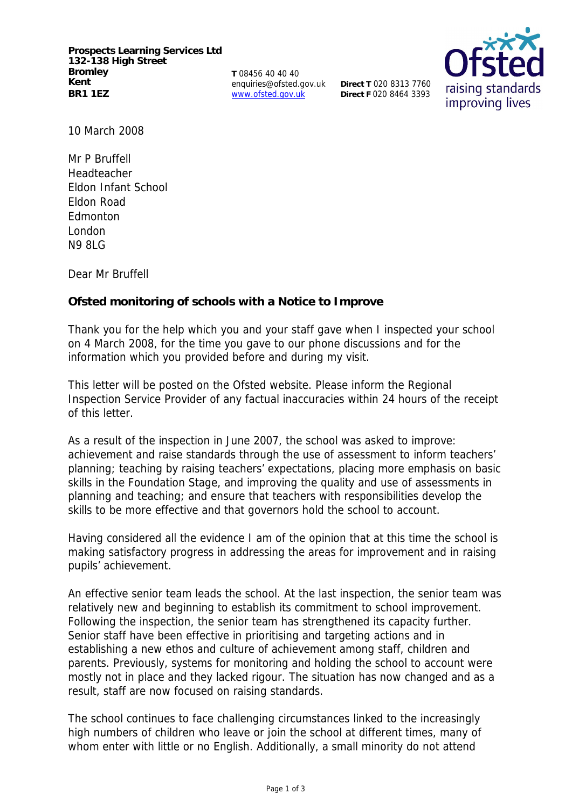**Prospects Learning Services Ltd 132-138 High Street Bromley Kent BR1 1EZ**

**T** 08456 40 40 40 enquiries@ofsted.gov.uk www.ofsted.gov.uk

**Direct T** 020 8313 7760 **Direct F** 020 8464 3393



10 March 2008

Mr P Bruffell Headteacher Eldon Infant School Eldon Road Edmonton London N9 8LG

Dear Mr Bruffell

**Ofsted monitoring of schools with a Notice to Improve**

Thank you for the help which you and your staff gave when I inspected your school on 4 March 2008, for the time you gave to our phone discussions and for the information which you provided before and during my visit.

This letter will be posted on the Ofsted website. Please inform the Regional Inspection Service Provider of any factual inaccuracies within 24 hours of the receipt of this letter.

As a result of the inspection in June 2007, the school was asked to improve: achievement and raise standards through the use of assessment to inform teachers' planning; teaching by raising teachers' expectations, placing more emphasis on basic skills in the Foundation Stage, and improving the quality and use of assessments in planning and teaching; and ensure that teachers with responsibilities develop the skills to be more effective and that governors hold the school to account.

Having considered all the evidence I am of the opinion that at this time the school is making satisfactory progress in addressing the areas for improvement and in raising pupils' achievement.

An effective senior team leads the school. At the last inspection, the senior team was relatively new and beginning to establish its commitment to school improvement. Following the inspection, the senior team has strengthened its capacity further. Senior staff have been effective in prioritising and targeting actions and in establishing a new ethos and culture of achievement among staff, children and parents. Previously, systems for monitoring and holding the school to account were mostly not in place and they lacked rigour. The situation has now changed and as a result, staff are now focused on raising standards.

The school continues to face challenging circumstances linked to the increasingly high numbers of children who leave or join the school at different times, many of whom enter with little or no English. Additionally, a small minority do not attend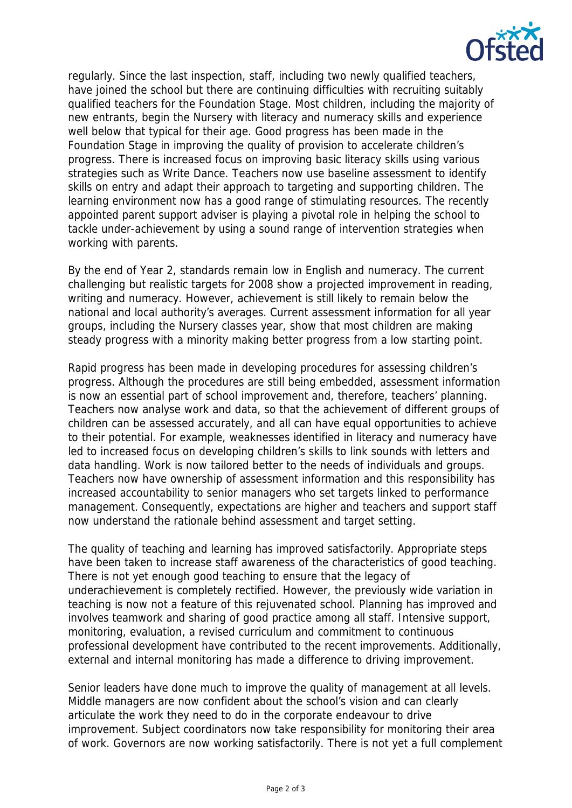

regularly. Since the last inspection, staff, including two newly qualified teachers, have joined the school but there are continuing difficulties with recruiting suitably qualified teachers for the Foundation Stage. Most children, including the majority of new entrants, begin the Nursery with literacy and numeracy skills and experience well below that typical for their age. Good progress has been made in the Foundation Stage in improving the quality of provision to accelerate children's progress. There is increased focus on improving basic literacy skills using various strategies such as Write Dance. Teachers now use baseline assessment to identify skills on entry and adapt their approach to targeting and supporting children. The learning environment now has a good range of stimulating resources. The recently appointed parent support adviser is playing a pivotal role in helping the school to tackle under-achievement by using a sound range of intervention strategies when working with parents.

By the end of Year 2, standards remain low in English and numeracy. The current challenging but realistic targets for 2008 show a projected improvement in reading, writing and numeracy. However, achievement is still likely to remain below the national and local authority's averages. Current assessment information for all year groups, including the Nursery classes year, show that most children are making steady progress with a minority making better progress from a low starting point.

Rapid progress has been made in developing procedures for assessing children's progress. Although the procedures are still being embedded, assessment information is now an essential part of school improvement and, therefore, teachers' planning. Teachers now analyse work and data, so that the achievement of different groups of children can be assessed accurately, and all can have equal opportunities to achieve to their potential. For example, weaknesses identified in literacy and numeracy have led to increased focus on developing children's skills to link sounds with letters and data handling. Work is now tailored better to the needs of individuals and groups. Teachers now have ownership of assessment information and this responsibility has increased accountability to senior managers who set targets linked to performance management. Consequently, expectations are higher and teachers and support staff now understand the rationale behind assessment and target setting.

The quality of teaching and learning has improved satisfactorily. Appropriate steps have been taken to increase staff awareness of the characteristics of good teaching. There is not yet enough good teaching to ensure that the legacy of underachievement is completely rectified. However, the previously wide variation in teaching is now not a feature of this rejuvenated school. Planning has improved and involves teamwork and sharing of good practice among all staff. Intensive support, monitoring, evaluation, a revised curriculum and commitment to continuous professional development have contributed to the recent improvements. Additionally, external and internal monitoring has made a difference to driving improvement.

Senior leaders have done much to improve the quality of management at all levels. Middle managers are now confident about the school's vision and can clearly articulate the work they need to do in the corporate endeavour to drive improvement. Subject coordinators now take responsibility for monitoring their area of work. Governors are now working satisfactorily. There is not yet a full complement